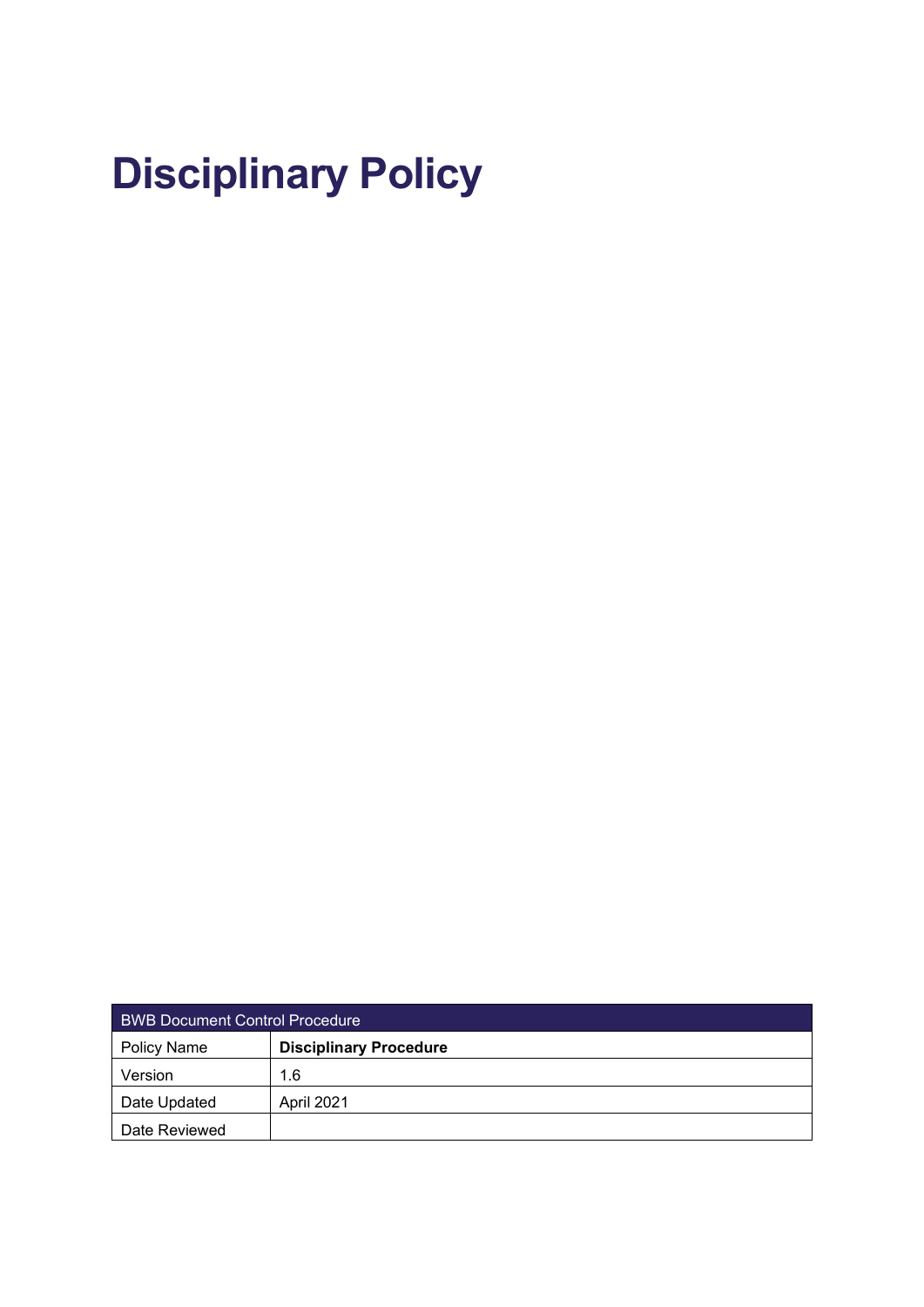# **Disciplinary Policy**

| <b>BWB Document Control Procedure</b> |                               |  |
|---------------------------------------|-------------------------------|--|
| <b>Policy Name</b>                    | <b>Disciplinary Procedure</b> |  |
| Version                               | 1.6                           |  |
| Date Updated                          | April 2021                    |  |
| Date Reviewed                         |                               |  |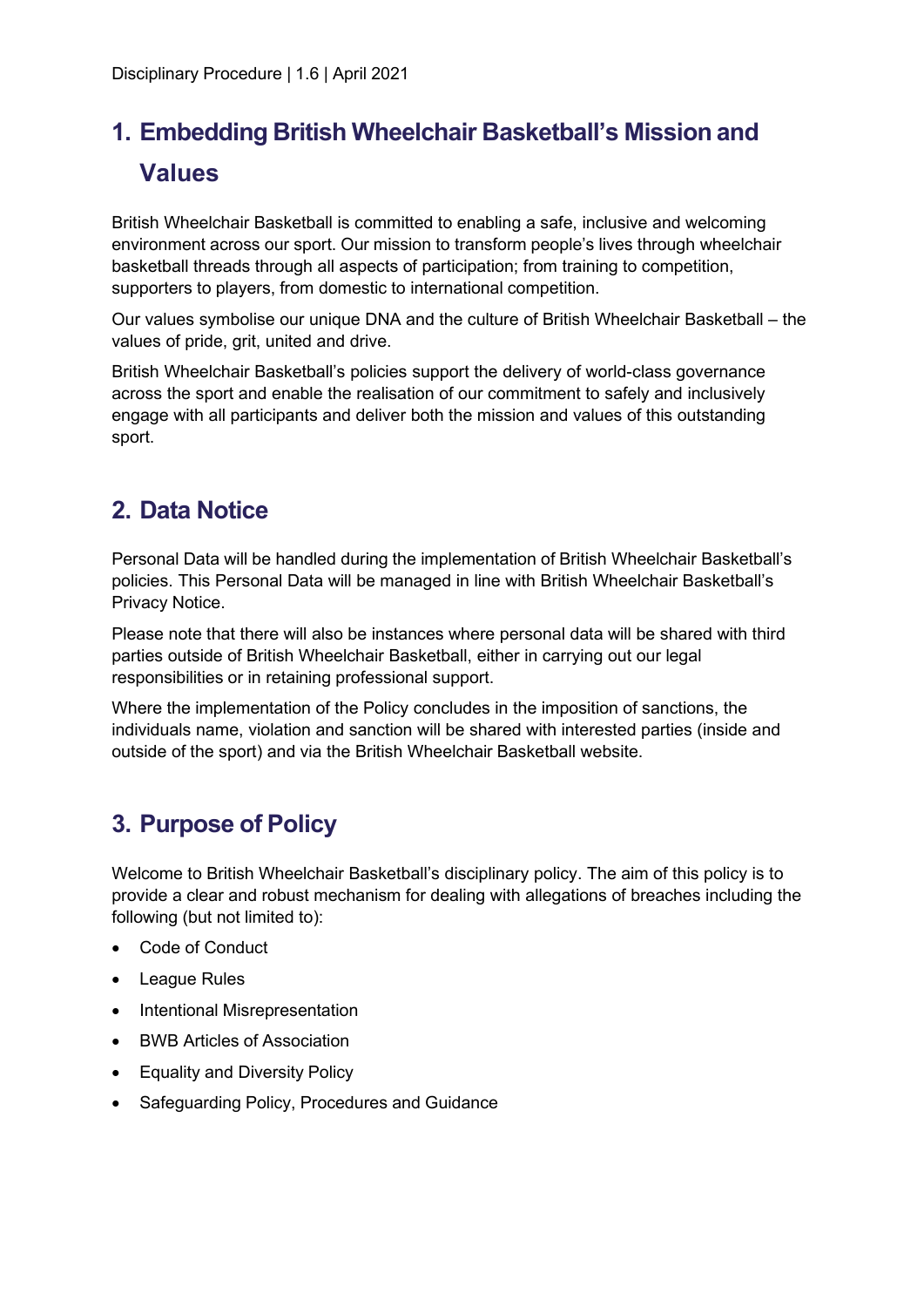## **1. Embedding British Wheelchair Basketball's Mission and Values**

British Wheelchair Basketball is committed to enabling a safe, inclusive and welcoming environment across our sport. Our mission to transform people's lives through wheelchair basketball threads through all aspects of participation; from training to competition, supporters to players, from domestic to international competition.

Our values symbolise our unique DNA and the culture of British Wheelchair Basketball – the values of pride, grit, united and drive.

British Wheelchair Basketball's policies support the delivery of world-class governance across the sport and enable the realisation of our commitment to safely and inclusively engage with all participants and deliver both the mission and values of this outstanding sport.

### **2. Data Notice**

Personal Data will be handled during the implementation of British Wheelchair Basketball's policies. This Personal Data will be managed in line with British Wheelchair Basketball's Privacy Notice.

Please note that there will also be instances where personal data will be shared with third parties outside of British Wheelchair Basketball, either in carrying out our legal responsibilities or in retaining professional support.

Where the implementation of the Policy concludes in the imposition of sanctions, the individuals name, violation and sanction will be shared with interested parties (inside and outside of the sport) and via the British Wheelchair Basketball website.

### **3. Purpose of Policy**

Welcome to British Wheelchair Basketball's disciplinary policy. The aim of this policy is to provide a clear and robust mechanism for dealing with allegations of breaches including the following (but not limited to):

- Code of Conduct
- League Rules
- Intentional Misrepresentation
- BWB Articles of Association
- Equality and Diversity Policy
- Safeguarding Policy, Procedures and Guidance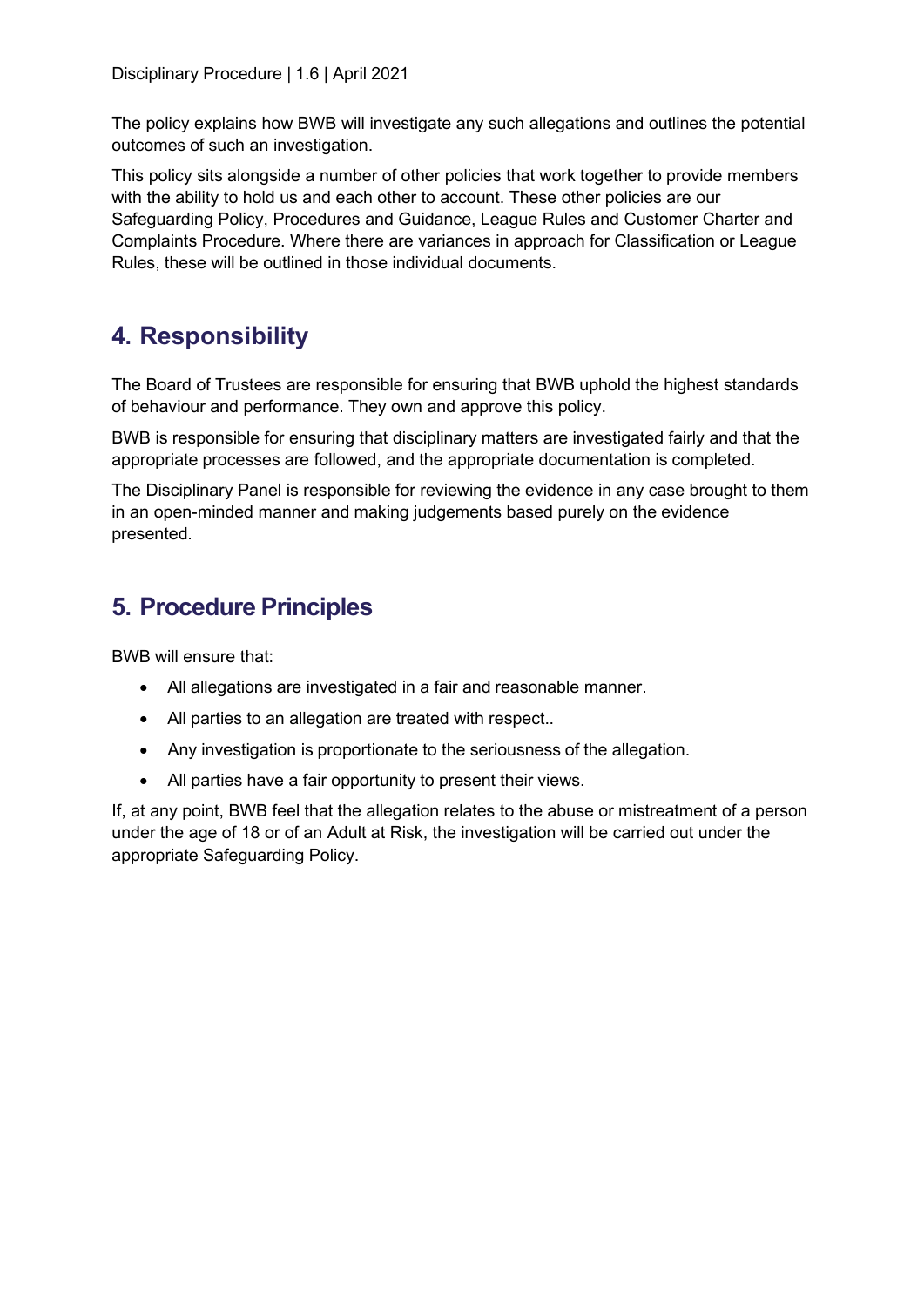The policy explains how BWB will investigate any such allegations and outlines the potential outcomes of such an investigation.

This policy sits alongside a number of other policies that work together to provide members with the ability to hold us and each other to account. These other policies are our Safeguarding Policy, Procedures and Guidance, League Rules and Customer Charter and Complaints Procedure. Where there are variances in approach for Classification or League Rules, these will be outlined in those individual documents.

### **4. Responsibility**

The Board of Trustees are responsible for ensuring that BWB uphold the highest standards of behaviour and performance. They own and approve this policy.

BWB is responsible for ensuring that disciplinary matters are investigated fairly and that the appropriate processes are followed, and the appropriate documentation is completed.

The Disciplinary Panel is responsible for reviewing the evidence in any case brought to them in an open-minded manner and making judgements based purely on the evidence presented.

### **5. Procedure Principles**

BWB will ensure that:

- All allegations are investigated in a fair and reasonable manner.
- All parties to an allegation are treated with respect..
- Any investigation is proportionate to the seriousness of the allegation.
- All parties have a fair opportunity to present their views.

If, at any point, BWB feel that the allegation relates to the abuse or mistreatment of a person under the age of 18 or of an Adult at Risk, the investigation will be carried out under the appropriate Safeguarding Policy.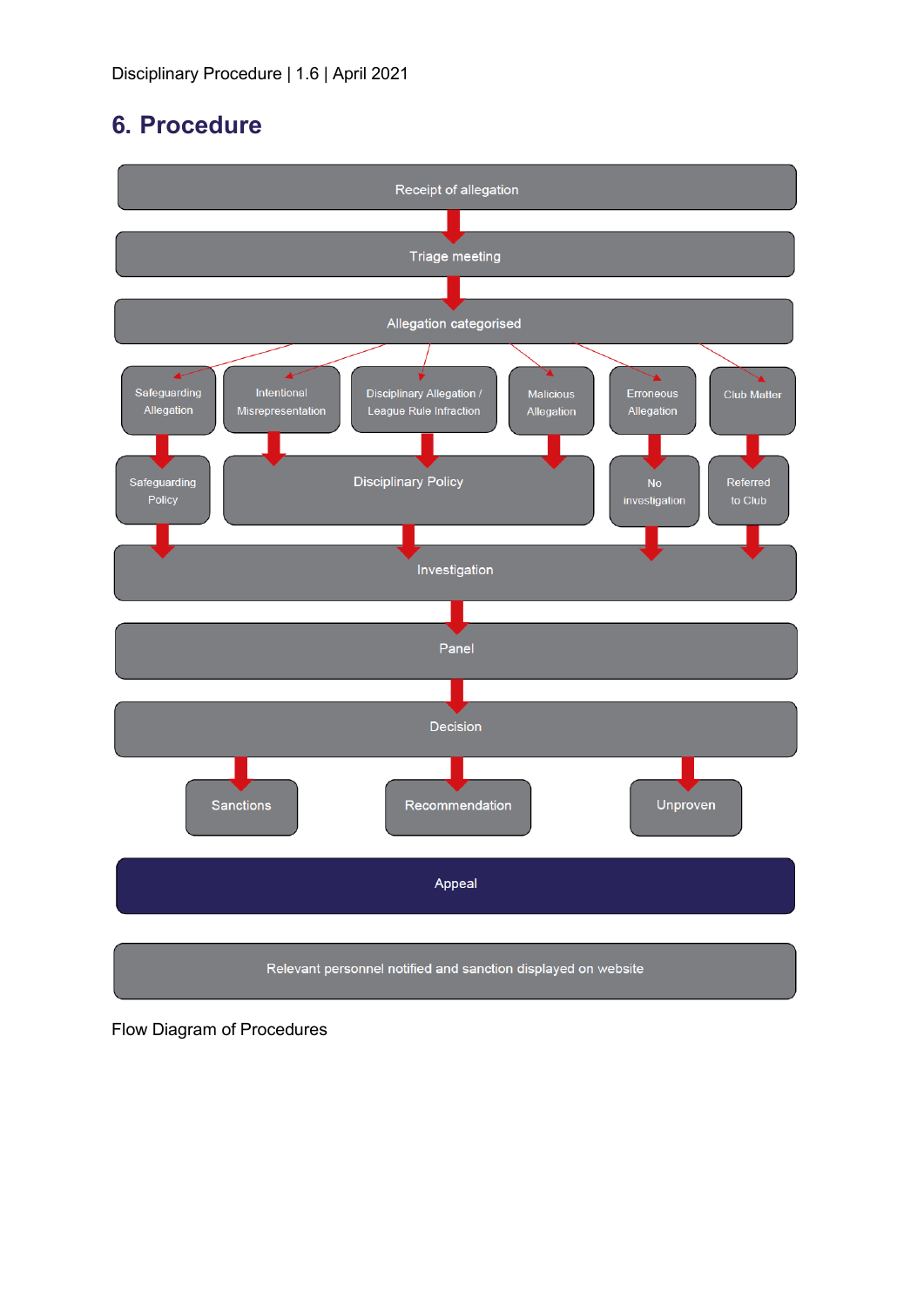### **6. Procedure**



Relevant personnel notified and sanction displayed on website

Flow Diagram of Procedures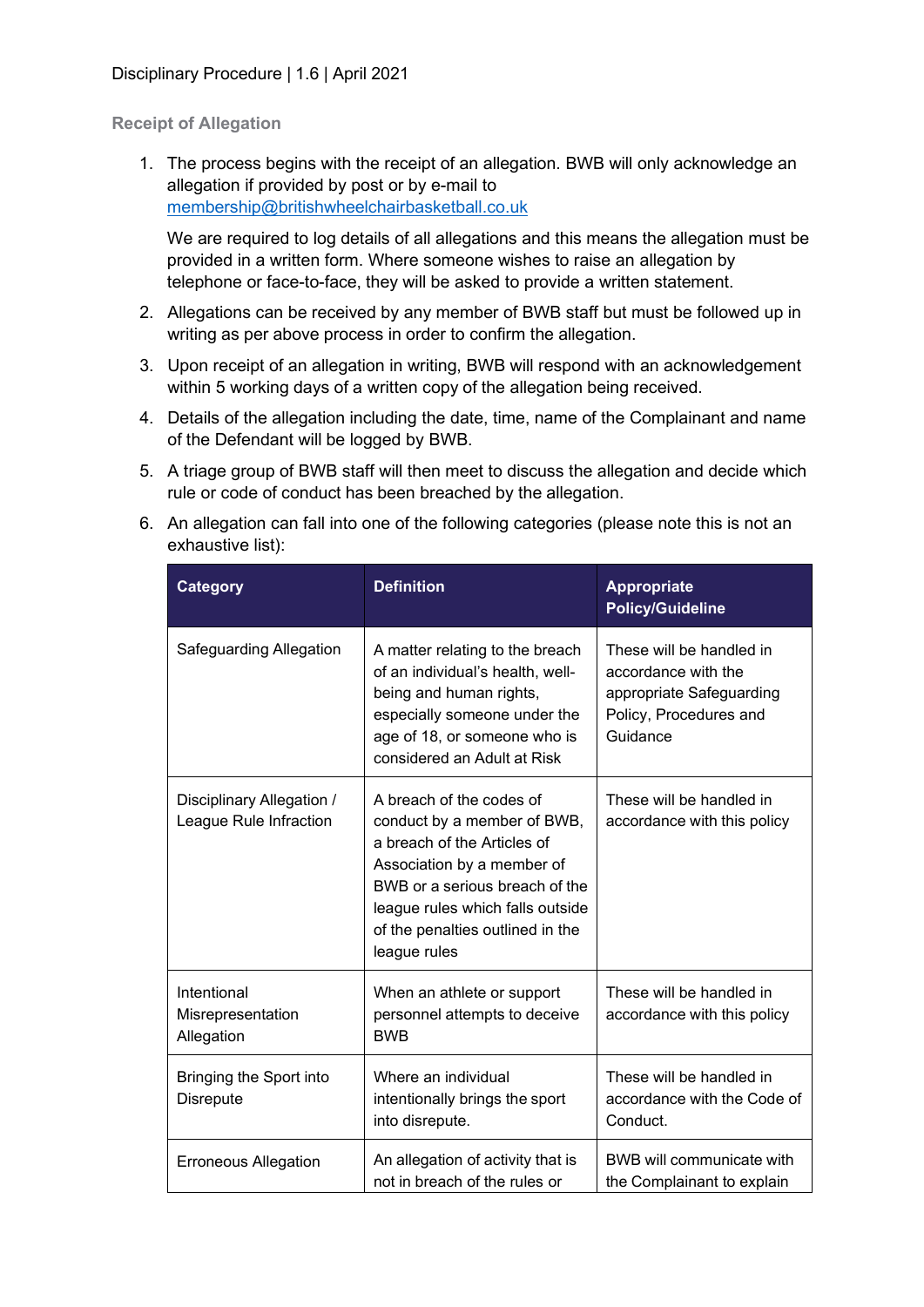#### **Receipt of Allegation**

1. The process begins with the receipt of an allegation. BWB will only acknowledge an allegation if provided by post or by e-mail to [membership@britishwheelchairbasketball.co.uk](mailto:membership@britishwheelchairbasketball.co.uk)

We are required to log details of all allegations and this means the allegation must be provided in a written form. Where someone wishes to raise an allegation by telephone or face-to-face, they will be asked to provide a written statement.

- 2. Allegations can be received by any member of BWB staff but must be followed up in writing as per above process in order to confirm the allegation.
- 3. Upon receipt of an allegation in writing, BWB will respond with an acknowledgement within 5 working days of a written copy of the allegation being received.
- 4. Details of the allegation including the date, time, name of the Complainant and name of the Defendant will be logged by BWB.
- 5. A triage group of BWB staff will then meet to discuss the allegation and decide which rule or code of conduct has been breached by the allegation.
- 6. An allegation can fall into one of the following categories (please note this is not an exhaustive list):

| <b>Category</b>                                     | <b>Definition</b>                                                                                                                                                                                                                              | <b>Appropriate</b><br><b>Policy/Guideline</b>                                                                     |
|-----------------------------------------------------|------------------------------------------------------------------------------------------------------------------------------------------------------------------------------------------------------------------------------------------------|-------------------------------------------------------------------------------------------------------------------|
| Safeguarding Allegation                             | A matter relating to the breach<br>of an individual's health, well-<br>being and human rights,<br>especially someone under the<br>age of 18, or someone who is<br>considered an Adult at Risk                                                  | These will be handled in<br>accordance with the<br>appropriate Safeguarding<br>Policy, Procedures and<br>Guidance |
| Disciplinary Allegation /<br>League Rule Infraction | A breach of the codes of<br>conduct by a member of BWB,<br>a breach of the Articles of<br>Association by a member of<br>BWB or a serious breach of the<br>league rules which falls outside<br>of the penalties outlined in the<br>league rules | These will be handled in<br>accordance with this policy                                                           |
| Intentional<br>Misrepresentation<br>Allegation      | When an athlete or support<br>personnel attempts to deceive<br><b>BWB</b>                                                                                                                                                                      | These will be handled in<br>accordance with this policy                                                           |
| Bringing the Sport into<br>Disrepute                | Where an individual<br>intentionally brings the sport<br>into disrepute.                                                                                                                                                                       | These will be handled in<br>accordance with the Code of<br>Conduct.                                               |
| <b>Erroneous Allegation</b>                         | An allegation of activity that is<br>not in breach of the rules or                                                                                                                                                                             | BWB will communicate with<br>the Complainant to explain                                                           |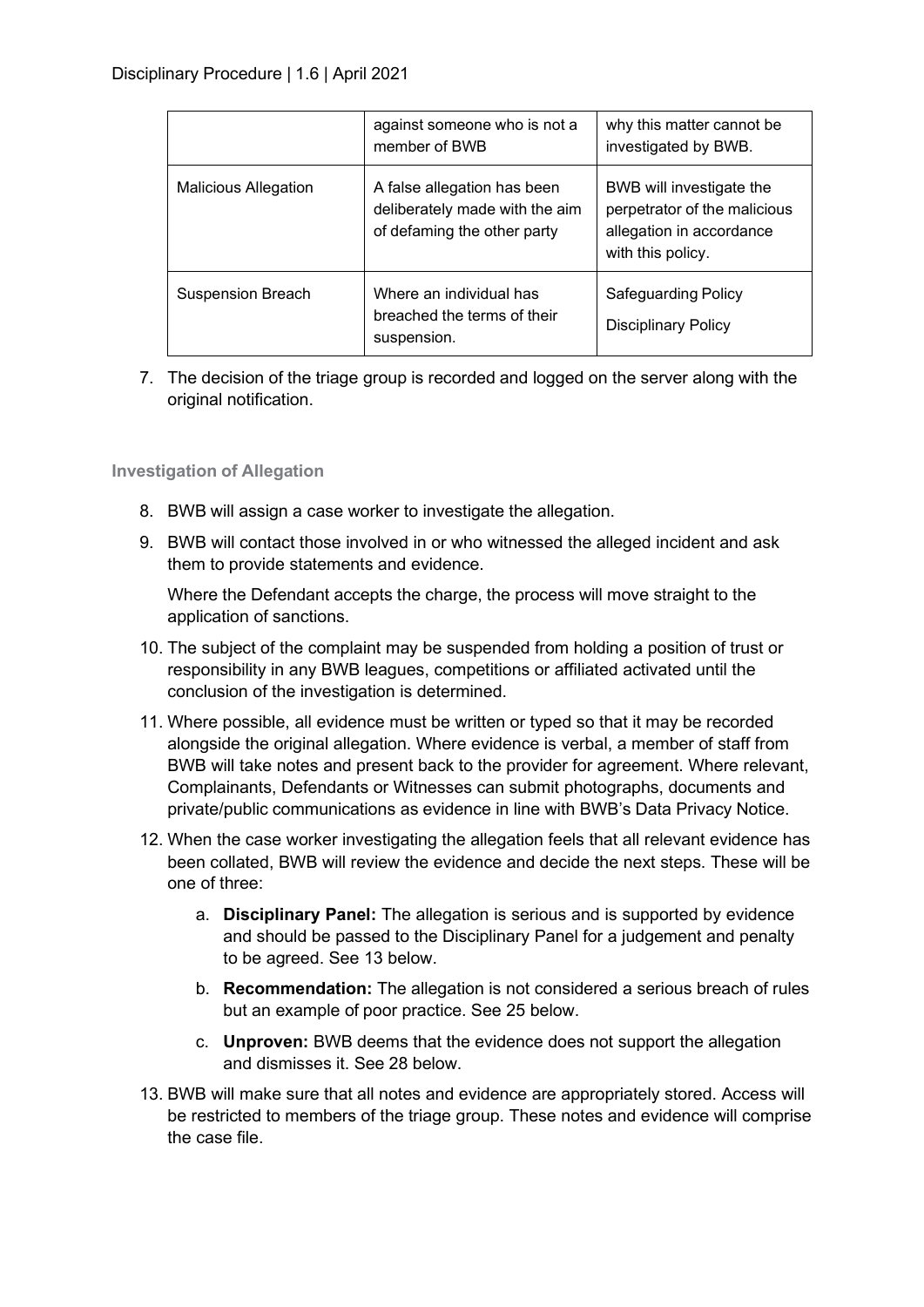|                             | against someone who is not a<br>member of BWB                                                | why this matter cannot be<br>investigated by BWB.                                                         |
|-----------------------------|----------------------------------------------------------------------------------------------|-----------------------------------------------------------------------------------------------------------|
| <b>Malicious Allegation</b> | A false allegation has been<br>deliberately made with the aim<br>of defaming the other party | BWB will investigate the<br>perpetrator of the malicious<br>allegation in accordance<br>with this policy. |
| <b>Suspension Breach</b>    | Where an individual has<br>breached the terms of their<br>suspension.                        | <b>Safeguarding Policy</b><br>Disciplinary Policy                                                         |

7. The decision of the triage group is recorded and logged on the server along with the original notification.

#### **Investigation of Allegation**

- 8. BWB will assign a case worker to investigate the allegation.
- 9. BWB will contact those involved in or who witnessed the alleged incident and ask them to provide statements and evidence.

Where the Defendant accepts the charge, the process will move straight to the application of sanctions.

- 10. The subject of the complaint may be suspended from holding a position of trust or responsibility in any BWB leagues, competitions or affiliated activated until the conclusion of the investigation is determined.
- 11. Where possible, all evidence must be written or typed so that it may be recorded alongside the original allegation. Where evidence is verbal, a member of staff from BWB will take notes and present back to the provider for agreement. Where relevant, Complainants, Defendants or Witnesses can submit photographs, documents and private/public communications as evidence in line with BWB's Data Privacy Notice.
- 12. When the case worker investigating the allegation feels that all relevant evidence has been collated, BWB will review the evidence and decide the next steps. These will be one of three:
	- a. **Disciplinary Panel:** The allegation is serious and is supported by evidence and should be passed to the Disciplinary Panel for a judgement and penalty to be agreed. See 13 below.
	- b. **Recommendation:** The allegation is not considered a serious breach of rules but an example of poor practice. See 25 below.
	- c. **Unproven:** BWB deems that the evidence does not support the allegation and dismisses it. See 28 below.
- 13. BWB will make sure that all notes and evidence are appropriately stored. Access will be restricted to members of the triage group. These notes and evidence will comprise the case file.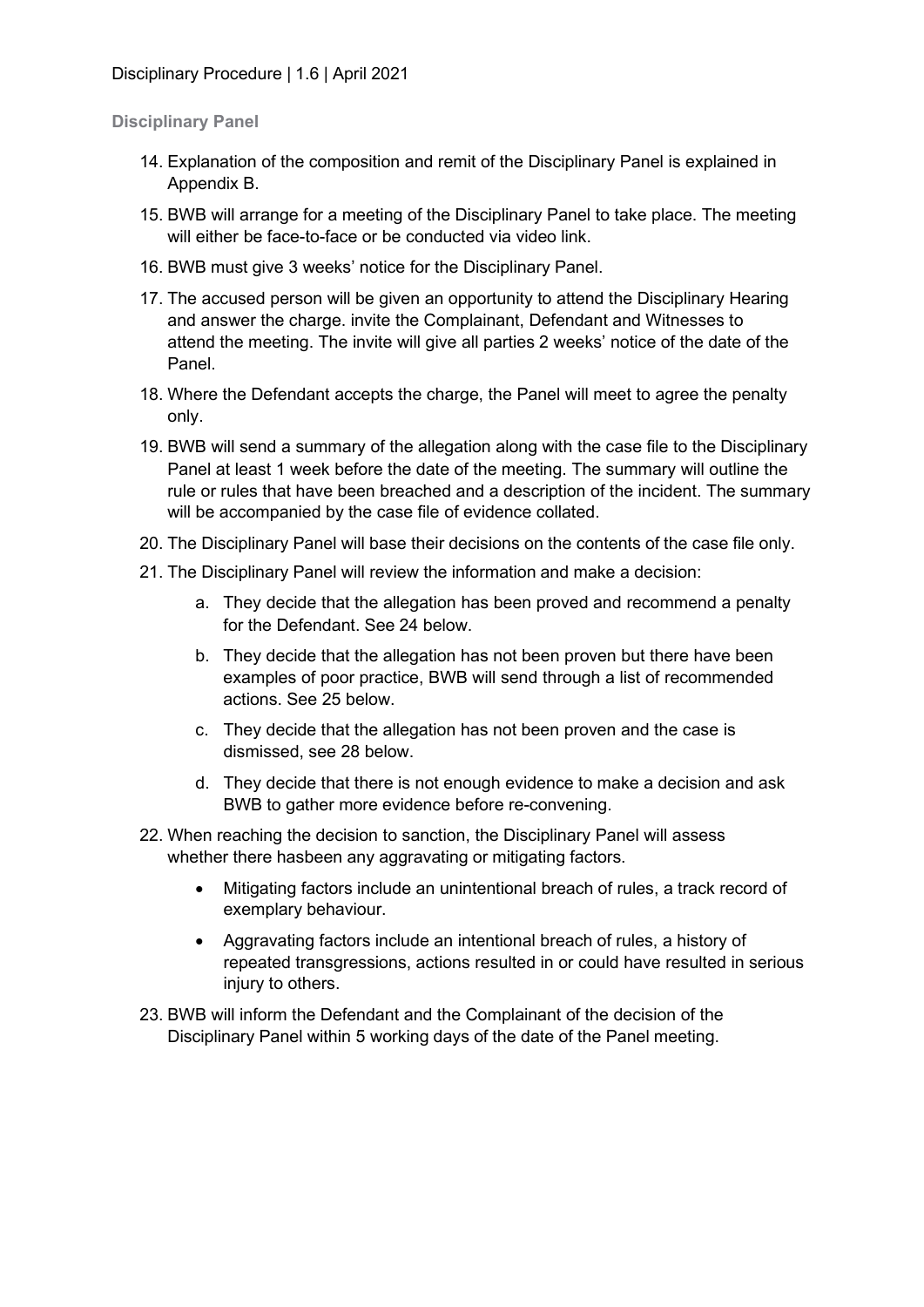#### **Disciplinary Panel**

- 14. Explanation of the composition and remit of the Disciplinary Panel is explained in Appendix B.
- 15. BWB will arrange for a meeting of the Disciplinary Panel to take place. The meeting will either be face-to-face or be conducted via video link.
- 16. BWB must give 3 weeks' notice for the Disciplinary Panel.
- 17. The accused person will be given an opportunity to attend the Disciplinary Hearing and answer the charge. invite the Complainant, Defendant and Witnesses to attend the meeting. The invite will give all parties 2 weeks' notice of the date of the Panel.
- 18. Where the Defendant accepts the charge, the Panel will meet to agree the penalty only.
- 19. BWB will send a summary of the allegation along with the case file to the Disciplinary Panel at least 1 week before the date of the meeting. The summary will outline the rule or rules that have been breached and a description of the incident. The summary will be accompanied by the case file of evidence collated.
- 20. The Disciplinary Panel will base their decisions on the contents of the case file only.
- 21. The Disciplinary Panel will review the information and make a decision:
	- a. They decide that the allegation has been proved and recommend a penalty for the Defendant. See 24 below.
	- b. They decide that the allegation has not been proven but there have been examples of poor practice, BWB will send through a list of recommended actions. See 25 below.
	- c. They decide that the allegation has not been proven and the case is dismissed, see 28 below.
	- d. They decide that there is not enough evidence to make a decision and ask BWB to gather more evidence before re-convening.
- 22. When reaching the decision to sanction, the Disciplinary Panel will assess whether there hasbeen any aggravating or mitigating factors.
	- Mitigating factors include an unintentional breach of rules, a track record of exemplary behaviour.
	- Aggravating factors include an intentional breach of rules, a history of repeated transgressions, actions resulted in or could have resulted in serious injury to others.
- 23. BWB will inform the Defendant and the Complainant of the decision of the Disciplinary Panel within 5 working days of the date of the Panel meeting.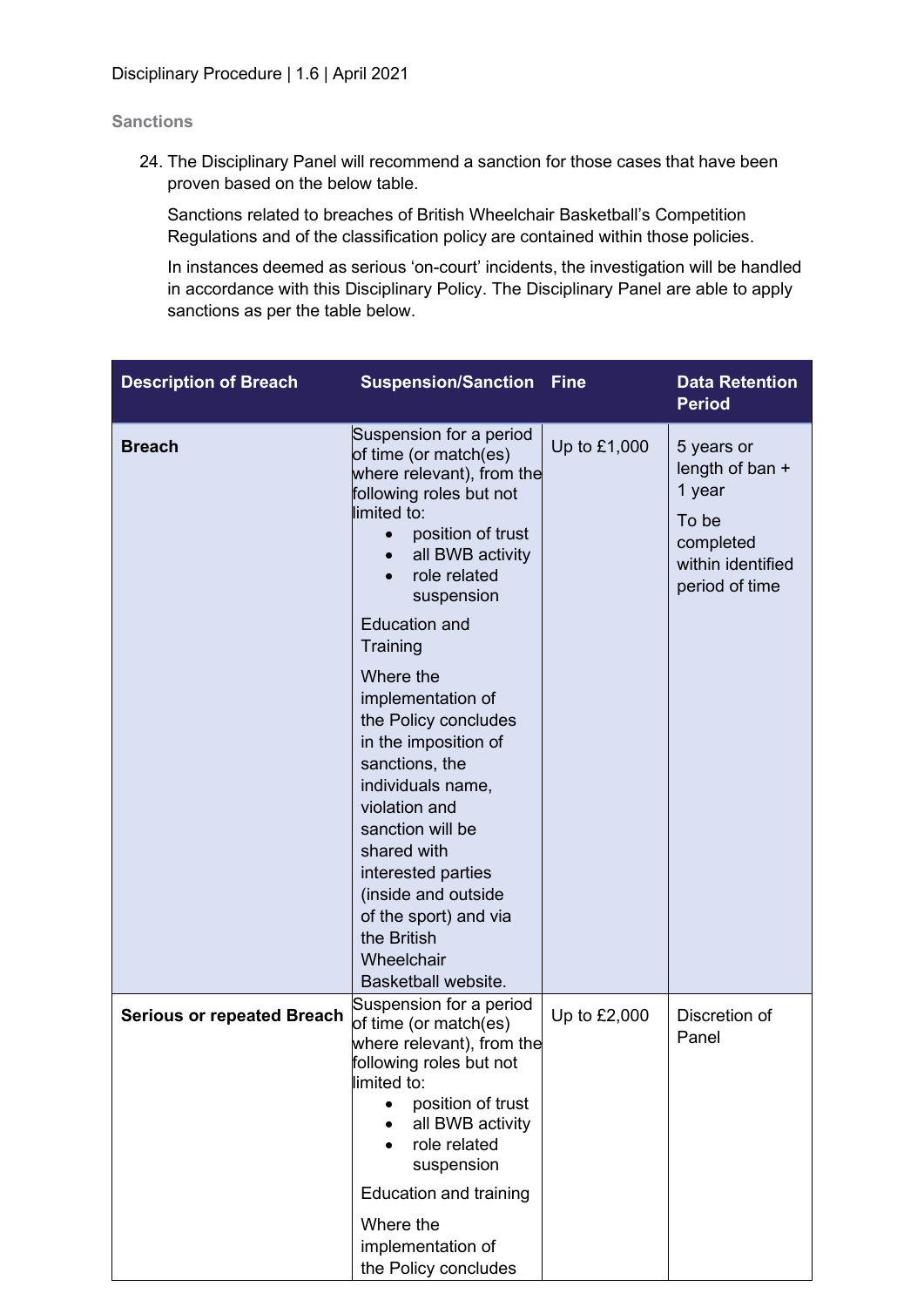#### **Sanctions**

24. The Disciplinary Panel will recommend a sanction for those cases that have been proven based on the below table.

Sanctions related to breaches of British Wheelchair Basketball's Competition Regulations and of the classification policy are contained within those policies.

In instances deemed as serious 'on-court' incidents, the investigation will be handled in accordance with this Disciplinary Policy. The Disciplinary Panel are able to apply sanctions as per the table below.

| <b>Description of Breach</b>      | <b>Suspension/Sanction Fine</b>                                                                                                                                                                                                                                                                                                                                                                                                                                                                                                           |              | <b>Data Retention</b><br><b>Period</b>                                                               |
|-----------------------------------|-------------------------------------------------------------------------------------------------------------------------------------------------------------------------------------------------------------------------------------------------------------------------------------------------------------------------------------------------------------------------------------------------------------------------------------------------------------------------------------------------------------------------------------------|--------------|------------------------------------------------------------------------------------------------------|
| <b>Breach</b>                     | Suspension for a period<br>of time (or match(es)<br>where relevant), from the<br>following roles but not<br>limited to:<br>position of trust<br>all BWB activity<br>role related<br>suspension<br><b>Education and</b><br>Training<br>Where the<br>implementation of<br>the Policy concludes<br>in the imposition of<br>sanctions, the<br>individuals name,<br>violation and<br>sanction will be<br>shared with<br>interested parties<br>(inside and outside<br>of the sport) and via<br>the British<br>Wheelchair<br>Basketball website. | Up to £1,000 | 5 years or<br>length of ban +<br>1 year<br>To be<br>completed<br>within identified<br>period of time |
| <b>Serious or repeated Breach</b> | Suspension for a period<br>of time (or match(es)<br>where relevant), from the<br>following roles but not<br>limited to:<br>position of trust                                                                                                                                                                                                                                                                                                                                                                                              | Up to £2,000 | Discretion of<br>Panel                                                                               |
|                                   | all BWB activity<br>role related<br>suspension                                                                                                                                                                                                                                                                                                                                                                                                                                                                                            |              |                                                                                                      |
|                                   | <b>Education and training</b><br>Where the<br>implementation of<br>the Policy concludes                                                                                                                                                                                                                                                                                                                                                                                                                                                   |              |                                                                                                      |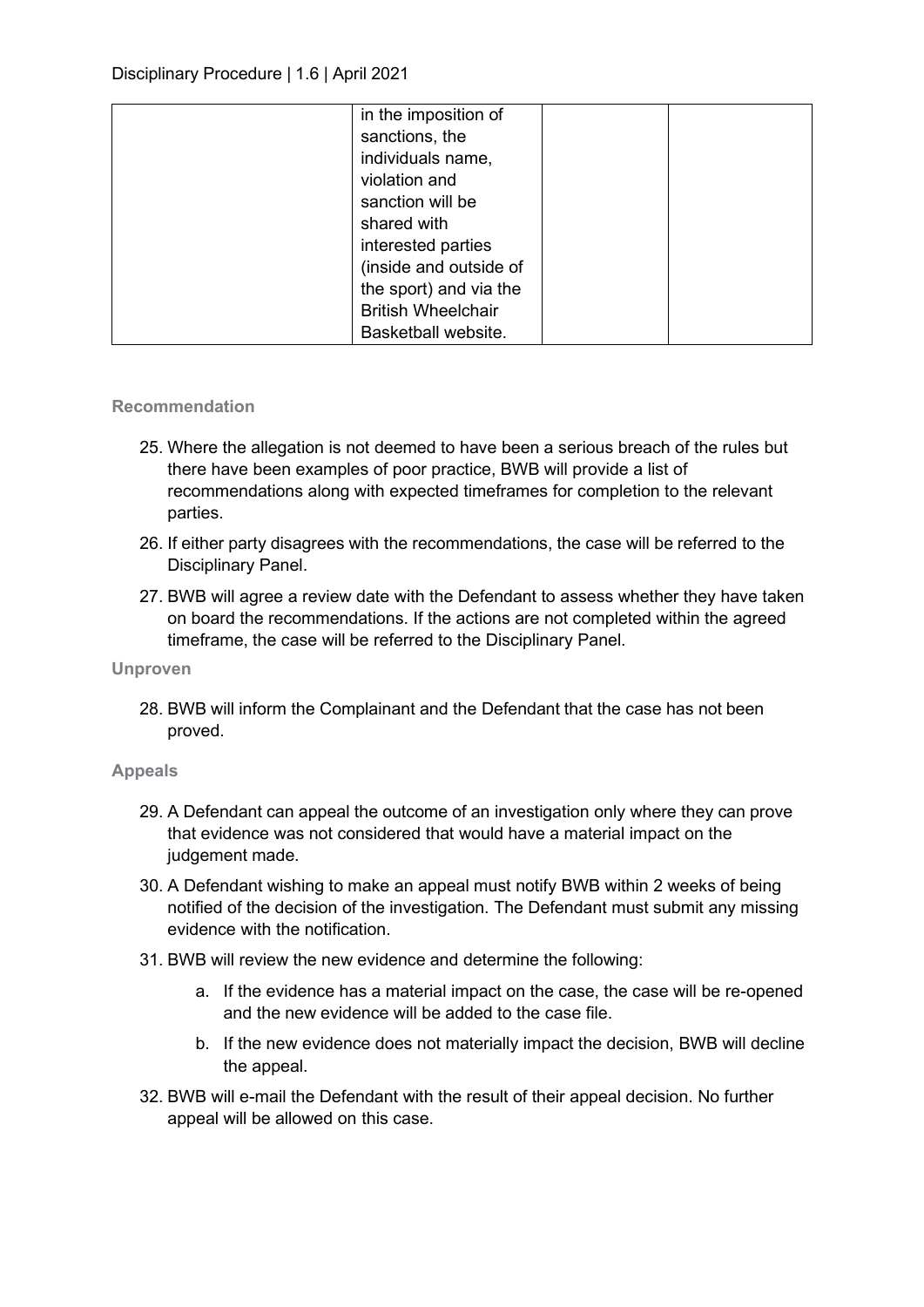| in the imposition of      |  |
|---------------------------|--|
| sanctions, the            |  |
| individuals name,         |  |
| violation and             |  |
| sanction will be          |  |
| shared with               |  |
| interested parties        |  |
| (inside and outside of    |  |
| the sport) and via the    |  |
| <b>British Wheelchair</b> |  |
| Basketball website.       |  |

#### **Recommendation**

- 25. Where the allegation is not deemed to have been a serious breach of the rules but there have been examples of poor practice, BWB will provide a list of recommendations along with expected timeframes for completion to the relevant parties.
- 26. If either party disagrees with the recommendations, the case will be referred to the Disciplinary Panel.
- 27. BWB will agree a review date with the Defendant to assess whether they have taken on board the recommendations. If the actions are not completed within the agreed timeframe, the case will be referred to the Disciplinary Panel.

#### **Unproven**

28. BWB will inform the Complainant and the Defendant that the case has not been proved.

#### **Appeals**

- 29. A Defendant can appeal the outcome of an investigation only where they can prove that evidence was not considered that would have a material impact on the judgement made.
- 30. A Defendant wishing to make an appeal must notify BWB within 2 weeks of being notified of the decision of the investigation. The Defendant must submit any missing evidence with the notification.
- 31. BWB will review the new evidence and determine the following:
	- a. If the evidence has a material impact on the case, the case will be re-opened and the new evidence will be added to the case file.
	- b. If the new evidence does not materially impact the decision, BWB will decline the appeal.
- 32. BWB will e-mail the Defendant with the result of their appeal decision. No further appeal will be allowed on this case.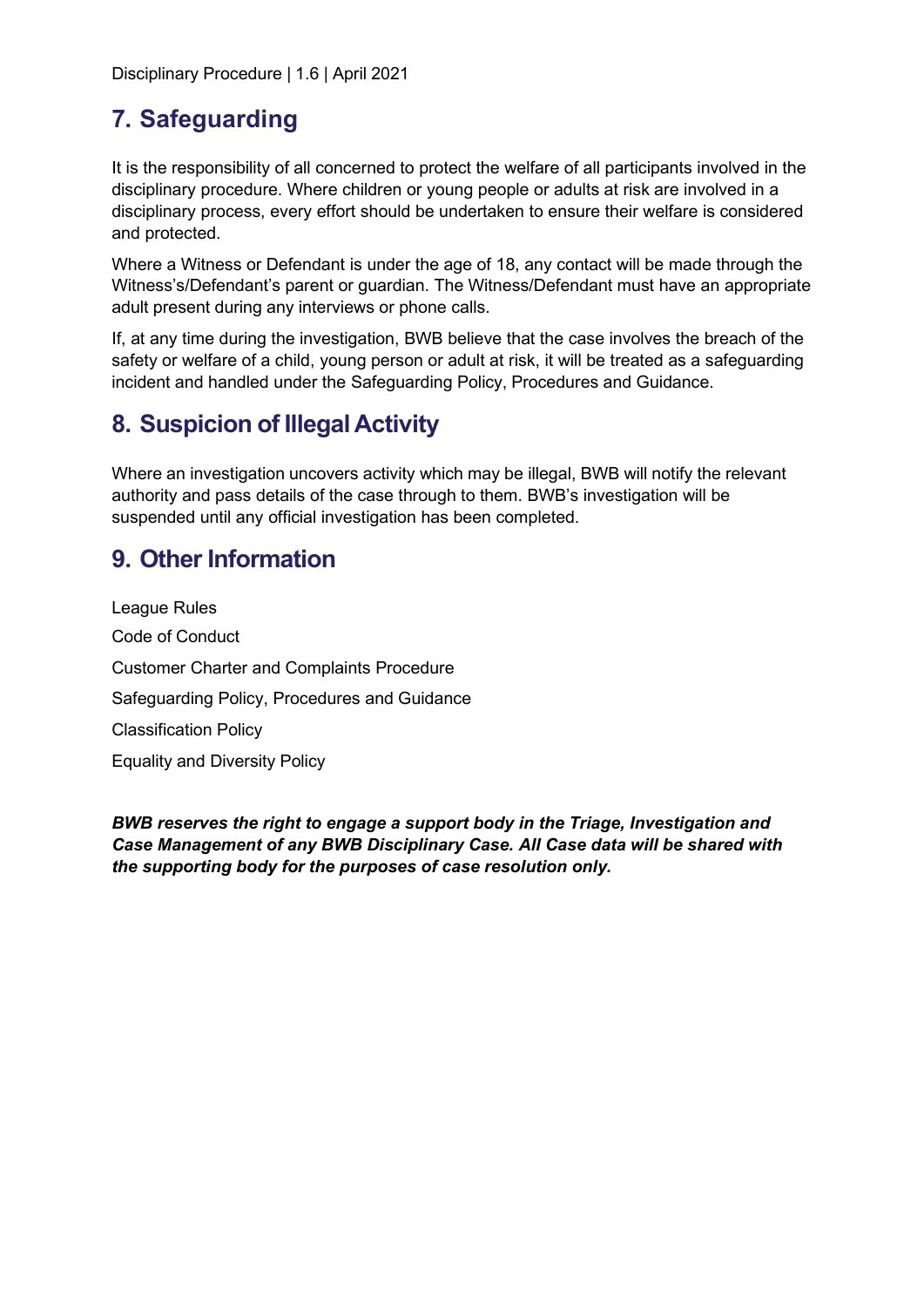Disciplinary Procedure | 1.6 | April 2021

### **7. Safeguarding**

It is the responsibility of all concerned to protect the welfare of all participants involved in the disciplinary procedure. Where children or young people or adults at risk are involved in a disciplinary process, every effort should be undertaken to ensure their welfare is considered and protected.

Where a Witness or Defendant is under the age of 18, any contact will be made through the Witness's/Defendant's parent or guardian. The Witness/Defendant must have an appropriate adult present during any interviews or phone calls.

If, at any time during the investigation, BWB believe that the case involves the breach of the safety or welfare of a child, young person or adult at risk, it will be treated as a safeguarding incident and handled under the Safeguarding Policy, Procedures and Guidance.

### **8. Suspicion of Illegal Activity**

Where an investigation uncovers activity which may be illegal, BWB will notify the relevant authority and pass details of the case through to them. BWB's investigation will be suspended until any official investigation has been completed.

### **9. Other Information**

League Rules Code of Conduct Customer Charter and Complaints Procedure Safeguarding Policy, Procedures and Guidance Classification Policy Equality and Diversity Policy

*BWB reserves the right to engage a support body in the Triage, Investigation and Case Management of any BWB Disciplinary Case. All Case data will be shared with the supporting body for the purposes of case resolution only.*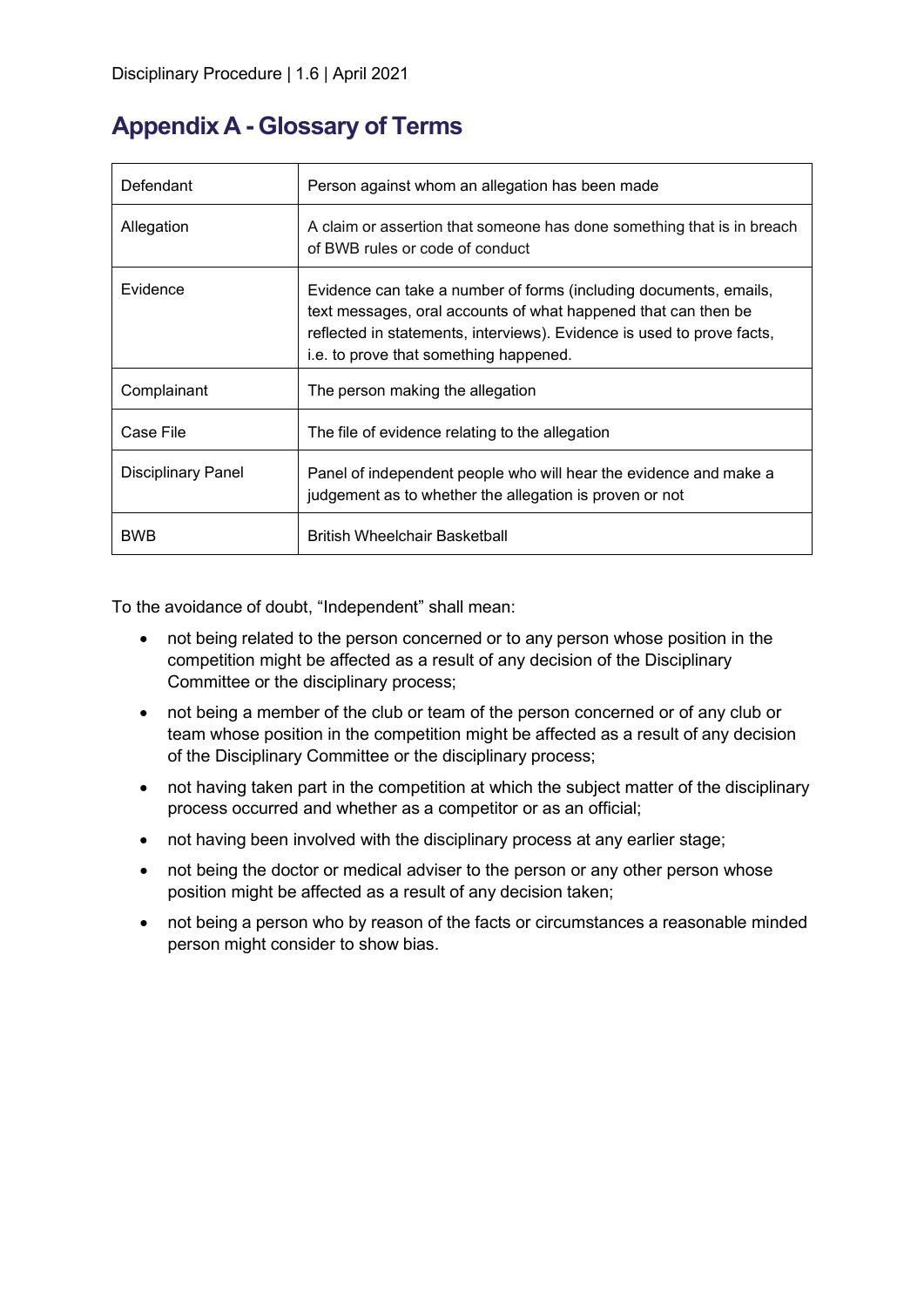### **Appendix A - Glossary of Terms**

| Defendant          | Person against whom an allegation has been made                                                                                                                                                                                                         |
|--------------------|---------------------------------------------------------------------------------------------------------------------------------------------------------------------------------------------------------------------------------------------------------|
| Allegation         | A claim or assertion that someone has done something that is in breach<br>of BWB rules or code of conduct                                                                                                                                               |
| Evidence           | Evidence can take a number of forms (including documents, emails,<br>text messages, oral accounts of what happened that can then be<br>reflected in statements, interviews). Evidence is used to prove facts,<br>i.e. to prove that something happened. |
| Complainant        | The person making the allegation                                                                                                                                                                                                                        |
| Case File          | The file of evidence relating to the allegation                                                                                                                                                                                                         |
| Disciplinary Panel | Panel of independent people who will hear the evidence and make a<br>judgement as to whether the allegation is proven or not                                                                                                                            |
| BWB                | <b>British Wheelchair Basketball</b>                                                                                                                                                                                                                    |

To the avoidance of doubt, "Independent" shall mean:

- not being related to the person concerned or to any person whose position in the competition might be affected as a result of any decision of the Disciplinary Committee or the disciplinary process;
- not being a member of the club or team of the person concerned or of any club or team whose position in the competition might be affected as a result of any decision of the Disciplinary Committee or the disciplinary process;
- not having taken part in the competition at which the subject matter of the disciplinary process occurred and whether as a competitor or as an official;
- not having been involved with the disciplinary process at any earlier stage;
- not being the doctor or medical adviser to the person or any other person whose position might be affected as a result of any decision taken;
- not being a person who by reason of the facts or circumstances a reasonable minded person might consider to show bias.